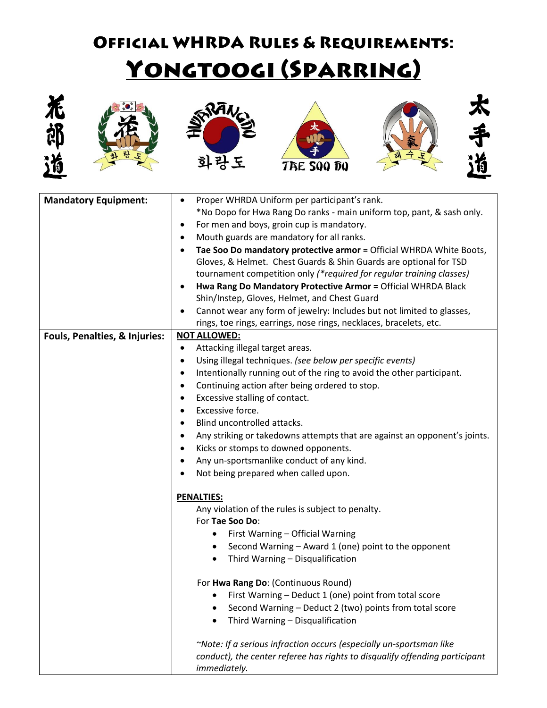## **OFFICIAL WHRDA RULES & REQUIREMENTS:** YONGTOOGI (SPARRING)











太手消

| <b>Mandatory Equipment:</b>   | Proper WHRDA Uniform per participant's rank.<br>$\bullet$                              |
|-------------------------------|----------------------------------------------------------------------------------------|
|                               | *No Dopo for Hwa Rang Do ranks - main uniform top, pant, & sash only.                  |
|                               | For men and boys, groin cup is mandatory.<br>٠                                         |
|                               | Mouth guards are mandatory for all ranks.<br>٠                                         |
|                               | Tae Soo Do mandatory protective armor = Official WHRDA White Boots,<br>$\bullet$       |
|                               | Gloves, & Helmet. Chest Guards & Shin Guards are optional for TSD                      |
|                               | tournament competition only (*required for regular training classes)                   |
|                               | Hwa Rang Do Mandatory Protective Armor = Official WHRDA Black<br>$\bullet$             |
|                               | Shin/Instep, Gloves, Helmet, and Chest Guard                                           |
|                               | Cannot wear any form of jewelry: Includes but not limited to glasses,                  |
|                               | rings, toe rings, earrings, nose rings, necklaces, bracelets, etc.                     |
| Fouls, Penalties, & Injuries: | <b>NOT ALLOWED:</b>                                                                    |
|                               | Attacking illegal target areas.<br>٠                                                   |
|                               | Using illegal techniques. (see below per specific events)<br>$\bullet$                 |
|                               | Intentionally running out of the ring to avoid the other participant.<br>٠             |
|                               | Continuing action after being ordered to stop.<br>$\bullet$                            |
|                               | Excessive stalling of contact.<br>$\bullet$                                            |
|                               | Excessive force.<br>٠                                                                  |
|                               | Blind uncontrolled attacks.<br>$\bullet$                                               |
|                               | Any striking or takedowns attempts that are against an opponent's joints.<br>$\bullet$ |
|                               | Kicks or stomps to downed opponents.<br>٠                                              |
|                               | Any un-sportsmanlike conduct of any kind.<br>٠                                         |
|                               | Not being prepared when called upon.                                                   |
|                               | <b>PENALTIES:</b>                                                                      |
|                               | Any violation of the rules is subject to penalty.                                      |
|                               | For Tae Soo Do:                                                                        |
|                               | First Warning - Official Warning<br>٠                                                  |
|                               | Second Warning - Award 1 (one) point to the opponent                                   |
|                               | Third Warning - Disqualification                                                       |
|                               |                                                                                        |
|                               | For Hwa Rang Do: (Continuous Round)                                                    |
|                               | First Warning - Deduct 1 (one) point from total score                                  |
|                               | Second Warning - Deduct 2 (two) points from total score                                |
|                               | Third Warning - Disqualification                                                       |
|                               | ~Note: If a serious infraction occurs (especially un-sportsman like                    |
|                               | conduct), the center referee has rights to disqualify offending participant            |
|                               | immediately.                                                                           |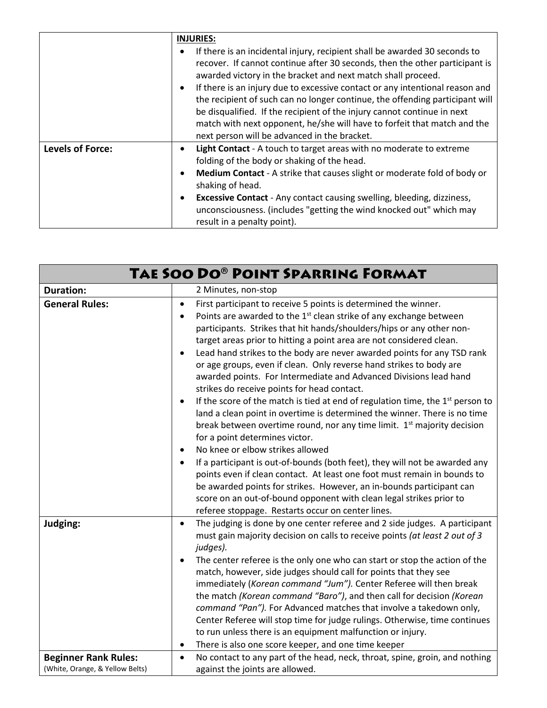|                         | <b>INJURIES:</b><br>If there is an incidental injury, recipient shall be awarded 30 seconds to<br>$\bullet$<br>recover. If cannot continue after 30 seconds, then the other participant is<br>awarded victory in the bracket and next match shall proceed.<br>If there is an injury due to excessive contact or any intentional reason and<br>$\bullet$<br>the recipient of such can no longer continue, the offending participant will<br>be disqualified. If the recipient of the injury cannot continue in next<br>match with next opponent, he/she will have to forfeit that match and the<br>next person will be advanced in the bracket. |
|-------------------------|------------------------------------------------------------------------------------------------------------------------------------------------------------------------------------------------------------------------------------------------------------------------------------------------------------------------------------------------------------------------------------------------------------------------------------------------------------------------------------------------------------------------------------------------------------------------------------------------------------------------------------------------|
| <b>Levels of Force:</b> | Light Contact - A touch to target areas with no moderate to extreme<br>$\bullet$<br>folding of the body or shaking of the head.<br>Medium Contact - A strike that causes slight or moderate fold of body or<br>$\bullet$<br>shaking of head.<br><b>Excessive Contact</b> - Any contact causing swelling, bleeding, dizziness,<br>$\bullet$<br>unconsciousness. (includes "getting the wind knocked out" which may<br>result in a penalty point).                                                                                                                                                                                               |

| TAE SOO DO® POINT SPARRING FORMAT                              |                                                                                                                                                                                                                                                                                                                                                                                                                                                                                                                                                                                                                                                                                                                                                                                                                                                                                                                                                                                                                                                                                                                                                                                                                                                                                                                                           |
|----------------------------------------------------------------|-------------------------------------------------------------------------------------------------------------------------------------------------------------------------------------------------------------------------------------------------------------------------------------------------------------------------------------------------------------------------------------------------------------------------------------------------------------------------------------------------------------------------------------------------------------------------------------------------------------------------------------------------------------------------------------------------------------------------------------------------------------------------------------------------------------------------------------------------------------------------------------------------------------------------------------------------------------------------------------------------------------------------------------------------------------------------------------------------------------------------------------------------------------------------------------------------------------------------------------------------------------------------------------------------------------------------------------------|
| <b>Duration:</b>                                               | 2 Minutes, non-stop                                                                                                                                                                                                                                                                                                                                                                                                                                                                                                                                                                                                                                                                                                                                                                                                                                                                                                                                                                                                                                                                                                                                                                                                                                                                                                                       |
| <b>General Rules:</b>                                          | First participant to receive 5 points is determined the winner.<br>$\bullet$<br>Points are awarded to the $1st$ clean strike of any exchange between<br>$\bullet$<br>participants. Strikes that hit hands/shoulders/hips or any other non-<br>target areas prior to hitting a point area are not considered clean.<br>Lead hand strikes to the body are never awarded points for any TSD rank<br>$\bullet$<br>or age groups, even if clean. Only reverse hand strikes to body are<br>awarded points. For Intermediate and Advanced Divisions lead hand<br>strikes do receive points for head contact.<br>If the score of the match is tied at end of regulation time, the $1st$ person to<br>$\bullet$<br>land a clean point in overtime is determined the winner. There is no time<br>break between overtime round, nor any time limit. 1 <sup>st</sup> majority decision<br>for a point determines victor.<br>No knee or elbow strikes allowed<br>$\bullet$<br>If a participant is out-of-bounds (both feet), they will not be awarded any<br>$\bullet$<br>points even if clean contact. At least one foot must remain in bounds to<br>be awarded points for strikes. However, an in-bounds participant can<br>score on an out-of-bound opponent with clean legal strikes prior to<br>referee stoppage. Restarts occur on center lines. |
| Judging:                                                       | The judging is done by one center referee and 2 side judges. A participant<br>$\bullet$<br>must gain majority decision on calls to receive points (at least 2 out of 3<br>judges).<br>The center referee is the only one who can start or stop the action of the<br>$\bullet$<br>match, however, side judges should call for points that they see<br>immediately (Korean command "Jum"). Center Referee will then break<br>the match (Korean command "Baro"), and then call for decision (Korean<br>command "Pan"). For Advanced matches that involve a takedown only,<br>Center Referee will stop time for judge rulings. Otherwise, time continues<br>to run unless there is an equipment malfunction or injury.<br>There is also one score keeper, and one time keeper<br>$\bullet$                                                                                                                                                                                                                                                                                                                                                                                                                                                                                                                                                    |
| <b>Beginner Rank Rules:</b><br>(White, Orange, & Yellow Belts) | No contact to any part of the head, neck, throat, spine, groin, and nothing<br>$\bullet$<br>against the joints are allowed.                                                                                                                                                                                                                                                                                                                                                                                                                                                                                                                                                                                                                                                                                                                                                                                                                                                                                                                                                                                                                                                                                                                                                                                                               |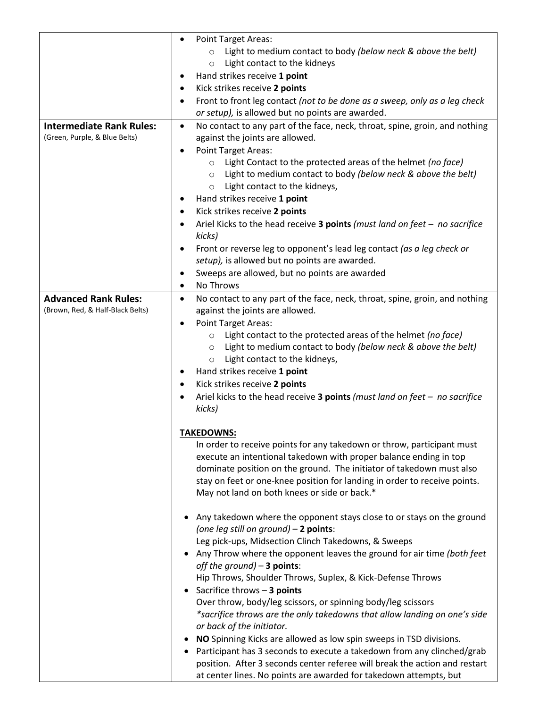| Light to medium contact to body (below neck & above the belt)<br>$\circ$<br>Light contact to the kidneys<br>$\circ$<br>Hand strikes receive 1 point<br>٠<br>Kick strikes receive 2 points<br>٠<br>Front to front leg contact (not to be done as a sweep, only as a leg check<br>٠<br>or setup), is allowed but no points are awarded.<br><b>Intermediate Rank Rules:</b><br>No contact to any part of the face, neck, throat, spine, groin, and nothing<br>$\bullet$<br>(Green, Purple, & Blue Belts)<br>against the joints are allowed.<br><b>Point Target Areas:</b><br>٠<br>Light Contact to the protected areas of the helmet (no face)<br>$\circ$<br>Light to medium contact to body (below neck & above the belt)<br>$\circ$<br>Light contact to the kidneys,<br>$\circ$<br>Hand strikes receive 1 point<br>Kick strikes receive 2 points<br>٠<br>Ariel Kicks to the head receive 3 points (must land on feet $-$ no sacrifice<br>٠<br>kicks)<br>Front or reverse leg to opponent's lead leg contact (as a leg check or<br>٠<br>setup), is allowed but no points are awarded.<br>Sweeps are allowed, but no points are awarded<br>٠<br>No Throws<br>٠<br><b>Advanced Rank Rules:</b><br>No contact to any part of the face, neck, throat, spine, groin, and nothing<br>٠<br>(Brown, Red, & Half-Black Belts)<br>against the joints are allowed.<br><b>Point Target Areas:</b><br>٠<br>Light contact to the protected areas of the helmet (no face)<br>$\circ$<br>Light to medium contact to body (below neck & above the belt)<br>$\circ$<br>Light contact to the kidneys,<br>$\circ$<br>Hand strikes receive 1 point<br>٠<br>Kick strikes receive 2 points<br>٠<br>Ariel kicks to the head receive 3 points (must land on feet $-$ no sacrifice<br>kicks)<br><b>TAKEDOWNS:</b><br>In order to receive points for any takedown or throw, participant must<br>execute an intentional takedown with proper balance ending in top<br>dominate position on the ground. The initiator of takedown must also<br>stay on feet or one-knee position for landing in order to receive points.<br>May not land on both knees or side or back.*<br>Any takedown where the opponent stays close to or stays on the ground<br>(one leg still on ground) - 2 points:<br>Leg pick-ups, Midsection Clinch Takedowns, & Sweeps<br>Any Throw where the opponent leaves the ground for air time (both feet<br>off the ground) $-$ 3 points:<br>Hip Throws, Shoulder Throws, Suplex, & Kick-Defense Throws<br>Sacrifice throws - 3 points<br>Over throw, body/leg scissors, or spinning body/leg scissors<br>*sacrifice throws are the only takedowns that allow landing on one's side<br>or back of the initiator.<br>NO Spinning Kicks are allowed as low spin sweeps in TSD divisions.<br>Participant has 3 seconds to execute a takedown from any clinched/grab<br>position. After 3 seconds center referee will break the action and restart | <b>Point Target Areas:</b><br>٠                                   |
|------------------------------------------------------------------------------------------------------------------------------------------------------------------------------------------------------------------------------------------------------------------------------------------------------------------------------------------------------------------------------------------------------------------------------------------------------------------------------------------------------------------------------------------------------------------------------------------------------------------------------------------------------------------------------------------------------------------------------------------------------------------------------------------------------------------------------------------------------------------------------------------------------------------------------------------------------------------------------------------------------------------------------------------------------------------------------------------------------------------------------------------------------------------------------------------------------------------------------------------------------------------------------------------------------------------------------------------------------------------------------------------------------------------------------------------------------------------------------------------------------------------------------------------------------------------------------------------------------------------------------------------------------------------------------------------------------------------------------------------------------------------------------------------------------------------------------------------------------------------------------------------------------------------------------------------------------------------------------------------------------------------------------------------------------------------------------------------------------------------------------------------------------------------------------------------------------------------------------------------------------------------------------------------------------------------------------------------------------------------------------------------------------------------------------------------------------------------------------------------------------------------------------------------------------------------------------------------------------------------------------------------------------------------------------------------------------------------------------------------------------------------------------------------------------------------------------------------------------------------------------------------------------------------------------------|-------------------------------------------------------------------|
|                                                                                                                                                                                                                                                                                                                                                                                                                                                                                                                                                                                                                                                                                                                                                                                                                                                                                                                                                                                                                                                                                                                                                                                                                                                                                                                                                                                                                                                                                                                                                                                                                                                                                                                                                                                                                                                                                                                                                                                                                                                                                                                                                                                                                                                                                                                                                                                                                                                                                                                                                                                                                                                                                                                                                                                                                                                                                                                                    |                                                                   |
|                                                                                                                                                                                                                                                                                                                                                                                                                                                                                                                                                                                                                                                                                                                                                                                                                                                                                                                                                                                                                                                                                                                                                                                                                                                                                                                                                                                                                                                                                                                                                                                                                                                                                                                                                                                                                                                                                                                                                                                                                                                                                                                                                                                                                                                                                                                                                                                                                                                                                                                                                                                                                                                                                                                                                                                                                                                                                                                                    |                                                                   |
|                                                                                                                                                                                                                                                                                                                                                                                                                                                                                                                                                                                                                                                                                                                                                                                                                                                                                                                                                                                                                                                                                                                                                                                                                                                                                                                                                                                                                                                                                                                                                                                                                                                                                                                                                                                                                                                                                                                                                                                                                                                                                                                                                                                                                                                                                                                                                                                                                                                                                                                                                                                                                                                                                                                                                                                                                                                                                                                                    |                                                                   |
|                                                                                                                                                                                                                                                                                                                                                                                                                                                                                                                                                                                                                                                                                                                                                                                                                                                                                                                                                                                                                                                                                                                                                                                                                                                                                                                                                                                                                                                                                                                                                                                                                                                                                                                                                                                                                                                                                                                                                                                                                                                                                                                                                                                                                                                                                                                                                                                                                                                                                                                                                                                                                                                                                                                                                                                                                                                                                                                                    |                                                                   |
|                                                                                                                                                                                                                                                                                                                                                                                                                                                                                                                                                                                                                                                                                                                                                                                                                                                                                                                                                                                                                                                                                                                                                                                                                                                                                                                                                                                                                                                                                                                                                                                                                                                                                                                                                                                                                                                                                                                                                                                                                                                                                                                                                                                                                                                                                                                                                                                                                                                                                                                                                                                                                                                                                                                                                                                                                                                                                                                                    |                                                                   |
|                                                                                                                                                                                                                                                                                                                                                                                                                                                                                                                                                                                                                                                                                                                                                                                                                                                                                                                                                                                                                                                                                                                                                                                                                                                                                                                                                                                                                                                                                                                                                                                                                                                                                                                                                                                                                                                                                                                                                                                                                                                                                                                                                                                                                                                                                                                                                                                                                                                                                                                                                                                                                                                                                                                                                                                                                                                                                                                                    |                                                                   |
|                                                                                                                                                                                                                                                                                                                                                                                                                                                                                                                                                                                                                                                                                                                                                                                                                                                                                                                                                                                                                                                                                                                                                                                                                                                                                                                                                                                                                                                                                                                                                                                                                                                                                                                                                                                                                                                                                                                                                                                                                                                                                                                                                                                                                                                                                                                                                                                                                                                                                                                                                                                                                                                                                                                                                                                                                                                                                                                                    |                                                                   |
|                                                                                                                                                                                                                                                                                                                                                                                                                                                                                                                                                                                                                                                                                                                                                                                                                                                                                                                                                                                                                                                                                                                                                                                                                                                                                                                                                                                                                                                                                                                                                                                                                                                                                                                                                                                                                                                                                                                                                                                                                                                                                                                                                                                                                                                                                                                                                                                                                                                                                                                                                                                                                                                                                                                                                                                                                                                                                                                                    |                                                                   |
|                                                                                                                                                                                                                                                                                                                                                                                                                                                                                                                                                                                                                                                                                                                                                                                                                                                                                                                                                                                                                                                                                                                                                                                                                                                                                                                                                                                                                                                                                                                                                                                                                                                                                                                                                                                                                                                                                                                                                                                                                                                                                                                                                                                                                                                                                                                                                                                                                                                                                                                                                                                                                                                                                                                                                                                                                                                                                                                                    |                                                                   |
|                                                                                                                                                                                                                                                                                                                                                                                                                                                                                                                                                                                                                                                                                                                                                                                                                                                                                                                                                                                                                                                                                                                                                                                                                                                                                                                                                                                                                                                                                                                                                                                                                                                                                                                                                                                                                                                                                                                                                                                                                                                                                                                                                                                                                                                                                                                                                                                                                                                                                                                                                                                                                                                                                                                                                                                                                                                                                                                                    |                                                                   |
|                                                                                                                                                                                                                                                                                                                                                                                                                                                                                                                                                                                                                                                                                                                                                                                                                                                                                                                                                                                                                                                                                                                                                                                                                                                                                                                                                                                                                                                                                                                                                                                                                                                                                                                                                                                                                                                                                                                                                                                                                                                                                                                                                                                                                                                                                                                                                                                                                                                                                                                                                                                                                                                                                                                                                                                                                                                                                                                                    |                                                                   |
|                                                                                                                                                                                                                                                                                                                                                                                                                                                                                                                                                                                                                                                                                                                                                                                                                                                                                                                                                                                                                                                                                                                                                                                                                                                                                                                                                                                                                                                                                                                                                                                                                                                                                                                                                                                                                                                                                                                                                                                                                                                                                                                                                                                                                                                                                                                                                                                                                                                                                                                                                                                                                                                                                                                                                                                                                                                                                                                                    |                                                                   |
|                                                                                                                                                                                                                                                                                                                                                                                                                                                                                                                                                                                                                                                                                                                                                                                                                                                                                                                                                                                                                                                                                                                                                                                                                                                                                                                                                                                                                                                                                                                                                                                                                                                                                                                                                                                                                                                                                                                                                                                                                                                                                                                                                                                                                                                                                                                                                                                                                                                                                                                                                                                                                                                                                                                                                                                                                                                                                                                                    |                                                                   |
|                                                                                                                                                                                                                                                                                                                                                                                                                                                                                                                                                                                                                                                                                                                                                                                                                                                                                                                                                                                                                                                                                                                                                                                                                                                                                                                                                                                                                                                                                                                                                                                                                                                                                                                                                                                                                                                                                                                                                                                                                                                                                                                                                                                                                                                                                                                                                                                                                                                                                                                                                                                                                                                                                                                                                                                                                                                                                                                                    |                                                                   |
|                                                                                                                                                                                                                                                                                                                                                                                                                                                                                                                                                                                                                                                                                                                                                                                                                                                                                                                                                                                                                                                                                                                                                                                                                                                                                                                                                                                                                                                                                                                                                                                                                                                                                                                                                                                                                                                                                                                                                                                                                                                                                                                                                                                                                                                                                                                                                                                                                                                                                                                                                                                                                                                                                                                                                                                                                                                                                                                                    |                                                                   |
|                                                                                                                                                                                                                                                                                                                                                                                                                                                                                                                                                                                                                                                                                                                                                                                                                                                                                                                                                                                                                                                                                                                                                                                                                                                                                                                                                                                                                                                                                                                                                                                                                                                                                                                                                                                                                                                                                                                                                                                                                                                                                                                                                                                                                                                                                                                                                                                                                                                                                                                                                                                                                                                                                                                                                                                                                                                                                                                                    |                                                                   |
|                                                                                                                                                                                                                                                                                                                                                                                                                                                                                                                                                                                                                                                                                                                                                                                                                                                                                                                                                                                                                                                                                                                                                                                                                                                                                                                                                                                                                                                                                                                                                                                                                                                                                                                                                                                                                                                                                                                                                                                                                                                                                                                                                                                                                                                                                                                                                                                                                                                                                                                                                                                                                                                                                                                                                                                                                                                                                                                                    |                                                                   |
|                                                                                                                                                                                                                                                                                                                                                                                                                                                                                                                                                                                                                                                                                                                                                                                                                                                                                                                                                                                                                                                                                                                                                                                                                                                                                                                                                                                                                                                                                                                                                                                                                                                                                                                                                                                                                                                                                                                                                                                                                                                                                                                                                                                                                                                                                                                                                                                                                                                                                                                                                                                                                                                                                                                                                                                                                                                                                                                                    |                                                                   |
|                                                                                                                                                                                                                                                                                                                                                                                                                                                                                                                                                                                                                                                                                                                                                                                                                                                                                                                                                                                                                                                                                                                                                                                                                                                                                                                                                                                                                                                                                                                                                                                                                                                                                                                                                                                                                                                                                                                                                                                                                                                                                                                                                                                                                                                                                                                                                                                                                                                                                                                                                                                                                                                                                                                                                                                                                                                                                                                                    |                                                                   |
|                                                                                                                                                                                                                                                                                                                                                                                                                                                                                                                                                                                                                                                                                                                                                                                                                                                                                                                                                                                                                                                                                                                                                                                                                                                                                                                                                                                                                                                                                                                                                                                                                                                                                                                                                                                                                                                                                                                                                                                                                                                                                                                                                                                                                                                                                                                                                                                                                                                                                                                                                                                                                                                                                                                                                                                                                                                                                                                                    |                                                                   |
|                                                                                                                                                                                                                                                                                                                                                                                                                                                                                                                                                                                                                                                                                                                                                                                                                                                                                                                                                                                                                                                                                                                                                                                                                                                                                                                                                                                                                                                                                                                                                                                                                                                                                                                                                                                                                                                                                                                                                                                                                                                                                                                                                                                                                                                                                                                                                                                                                                                                                                                                                                                                                                                                                                                                                                                                                                                                                                                                    |                                                                   |
|                                                                                                                                                                                                                                                                                                                                                                                                                                                                                                                                                                                                                                                                                                                                                                                                                                                                                                                                                                                                                                                                                                                                                                                                                                                                                                                                                                                                                                                                                                                                                                                                                                                                                                                                                                                                                                                                                                                                                                                                                                                                                                                                                                                                                                                                                                                                                                                                                                                                                                                                                                                                                                                                                                                                                                                                                                                                                                                                    |                                                                   |
|                                                                                                                                                                                                                                                                                                                                                                                                                                                                                                                                                                                                                                                                                                                                                                                                                                                                                                                                                                                                                                                                                                                                                                                                                                                                                                                                                                                                                                                                                                                                                                                                                                                                                                                                                                                                                                                                                                                                                                                                                                                                                                                                                                                                                                                                                                                                                                                                                                                                                                                                                                                                                                                                                                                                                                                                                                                                                                                                    |                                                                   |
|                                                                                                                                                                                                                                                                                                                                                                                                                                                                                                                                                                                                                                                                                                                                                                                                                                                                                                                                                                                                                                                                                                                                                                                                                                                                                                                                                                                                                                                                                                                                                                                                                                                                                                                                                                                                                                                                                                                                                                                                                                                                                                                                                                                                                                                                                                                                                                                                                                                                                                                                                                                                                                                                                                                                                                                                                                                                                                                                    |                                                                   |
|                                                                                                                                                                                                                                                                                                                                                                                                                                                                                                                                                                                                                                                                                                                                                                                                                                                                                                                                                                                                                                                                                                                                                                                                                                                                                                                                                                                                                                                                                                                                                                                                                                                                                                                                                                                                                                                                                                                                                                                                                                                                                                                                                                                                                                                                                                                                                                                                                                                                                                                                                                                                                                                                                                                                                                                                                                                                                                                                    |                                                                   |
|                                                                                                                                                                                                                                                                                                                                                                                                                                                                                                                                                                                                                                                                                                                                                                                                                                                                                                                                                                                                                                                                                                                                                                                                                                                                                                                                                                                                                                                                                                                                                                                                                                                                                                                                                                                                                                                                                                                                                                                                                                                                                                                                                                                                                                                                                                                                                                                                                                                                                                                                                                                                                                                                                                                                                                                                                                                                                                                                    |                                                                   |
|                                                                                                                                                                                                                                                                                                                                                                                                                                                                                                                                                                                                                                                                                                                                                                                                                                                                                                                                                                                                                                                                                                                                                                                                                                                                                                                                                                                                                                                                                                                                                                                                                                                                                                                                                                                                                                                                                                                                                                                                                                                                                                                                                                                                                                                                                                                                                                                                                                                                                                                                                                                                                                                                                                                                                                                                                                                                                                                                    |                                                                   |
|                                                                                                                                                                                                                                                                                                                                                                                                                                                                                                                                                                                                                                                                                                                                                                                                                                                                                                                                                                                                                                                                                                                                                                                                                                                                                                                                                                                                                                                                                                                                                                                                                                                                                                                                                                                                                                                                                                                                                                                                                                                                                                                                                                                                                                                                                                                                                                                                                                                                                                                                                                                                                                                                                                                                                                                                                                                                                                                                    |                                                                   |
|                                                                                                                                                                                                                                                                                                                                                                                                                                                                                                                                                                                                                                                                                                                                                                                                                                                                                                                                                                                                                                                                                                                                                                                                                                                                                                                                                                                                                                                                                                                                                                                                                                                                                                                                                                                                                                                                                                                                                                                                                                                                                                                                                                                                                                                                                                                                                                                                                                                                                                                                                                                                                                                                                                                                                                                                                                                                                                                                    |                                                                   |
|                                                                                                                                                                                                                                                                                                                                                                                                                                                                                                                                                                                                                                                                                                                                                                                                                                                                                                                                                                                                                                                                                                                                                                                                                                                                                                                                                                                                                                                                                                                                                                                                                                                                                                                                                                                                                                                                                                                                                                                                                                                                                                                                                                                                                                                                                                                                                                                                                                                                                                                                                                                                                                                                                                                                                                                                                                                                                                                                    |                                                                   |
|                                                                                                                                                                                                                                                                                                                                                                                                                                                                                                                                                                                                                                                                                                                                                                                                                                                                                                                                                                                                                                                                                                                                                                                                                                                                                                                                                                                                                                                                                                                                                                                                                                                                                                                                                                                                                                                                                                                                                                                                                                                                                                                                                                                                                                                                                                                                                                                                                                                                                                                                                                                                                                                                                                                                                                                                                                                                                                                                    |                                                                   |
|                                                                                                                                                                                                                                                                                                                                                                                                                                                                                                                                                                                                                                                                                                                                                                                                                                                                                                                                                                                                                                                                                                                                                                                                                                                                                                                                                                                                                                                                                                                                                                                                                                                                                                                                                                                                                                                                                                                                                                                                                                                                                                                                                                                                                                                                                                                                                                                                                                                                                                                                                                                                                                                                                                                                                                                                                                                                                                                                    |                                                                   |
|                                                                                                                                                                                                                                                                                                                                                                                                                                                                                                                                                                                                                                                                                                                                                                                                                                                                                                                                                                                                                                                                                                                                                                                                                                                                                                                                                                                                                                                                                                                                                                                                                                                                                                                                                                                                                                                                                                                                                                                                                                                                                                                                                                                                                                                                                                                                                                                                                                                                                                                                                                                                                                                                                                                                                                                                                                                                                                                                    |                                                                   |
|                                                                                                                                                                                                                                                                                                                                                                                                                                                                                                                                                                                                                                                                                                                                                                                                                                                                                                                                                                                                                                                                                                                                                                                                                                                                                                                                                                                                                                                                                                                                                                                                                                                                                                                                                                                                                                                                                                                                                                                                                                                                                                                                                                                                                                                                                                                                                                                                                                                                                                                                                                                                                                                                                                                                                                                                                                                                                                                                    |                                                                   |
|                                                                                                                                                                                                                                                                                                                                                                                                                                                                                                                                                                                                                                                                                                                                                                                                                                                                                                                                                                                                                                                                                                                                                                                                                                                                                                                                                                                                                                                                                                                                                                                                                                                                                                                                                                                                                                                                                                                                                                                                                                                                                                                                                                                                                                                                                                                                                                                                                                                                                                                                                                                                                                                                                                                                                                                                                                                                                                                                    |                                                                   |
|                                                                                                                                                                                                                                                                                                                                                                                                                                                                                                                                                                                                                                                                                                                                                                                                                                                                                                                                                                                                                                                                                                                                                                                                                                                                                                                                                                                                                                                                                                                                                                                                                                                                                                                                                                                                                                                                                                                                                                                                                                                                                                                                                                                                                                                                                                                                                                                                                                                                                                                                                                                                                                                                                                                                                                                                                                                                                                                                    |                                                                   |
|                                                                                                                                                                                                                                                                                                                                                                                                                                                                                                                                                                                                                                                                                                                                                                                                                                                                                                                                                                                                                                                                                                                                                                                                                                                                                                                                                                                                                                                                                                                                                                                                                                                                                                                                                                                                                                                                                                                                                                                                                                                                                                                                                                                                                                                                                                                                                                                                                                                                                                                                                                                                                                                                                                                                                                                                                                                                                                                                    |                                                                   |
|                                                                                                                                                                                                                                                                                                                                                                                                                                                                                                                                                                                                                                                                                                                                                                                                                                                                                                                                                                                                                                                                                                                                                                                                                                                                                                                                                                                                                                                                                                                                                                                                                                                                                                                                                                                                                                                                                                                                                                                                                                                                                                                                                                                                                                                                                                                                                                                                                                                                                                                                                                                                                                                                                                                                                                                                                                                                                                                                    |                                                                   |
|                                                                                                                                                                                                                                                                                                                                                                                                                                                                                                                                                                                                                                                                                                                                                                                                                                                                                                                                                                                                                                                                                                                                                                                                                                                                                                                                                                                                                                                                                                                                                                                                                                                                                                                                                                                                                                                                                                                                                                                                                                                                                                                                                                                                                                                                                                                                                                                                                                                                                                                                                                                                                                                                                                                                                                                                                                                                                                                                    |                                                                   |
|                                                                                                                                                                                                                                                                                                                                                                                                                                                                                                                                                                                                                                                                                                                                                                                                                                                                                                                                                                                                                                                                                                                                                                                                                                                                                                                                                                                                                                                                                                                                                                                                                                                                                                                                                                                                                                                                                                                                                                                                                                                                                                                                                                                                                                                                                                                                                                                                                                                                                                                                                                                                                                                                                                                                                                                                                                                                                                                                    |                                                                   |
|                                                                                                                                                                                                                                                                                                                                                                                                                                                                                                                                                                                                                                                                                                                                                                                                                                                                                                                                                                                                                                                                                                                                                                                                                                                                                                                                                                                                                                                                                                                                                                                                                                                                                                                                                                                                                                                                                                                                                                                                                                                                                                                                                                                                                                                                                                                                                                                                                                                                                                                                                                                                                                                                                                                                                                                                                                                                                                                                    |                                                                   |
|                                                                                                                                                                                                                                                                                                                                                                                                                                                                                                                                                                                                                                                                                                                                                                                                                                                                                                                                                                                                                                                                                                                                                                                                                                                                                                                                                                                                                                                                                                                                                                                                                                                                                                                                                                                                                                                                                                                                                                                                                                                                                                                                                                                                                                                                                                                                                                                                                                                                                                                                                                                                                                                                                                                                                                                                                                                                                                                                    |                                                                   |
|                                                                                                                                                                                                                                                                                                                                                                                                                                                                                                                                                                                                                                                                                                                                                                                                                                                                                                                                                                                                                                                                                                                                                                                                                                                                                                                                                                                                                                                                                                                                                                                                                                                                                                                                                                                                                                                                                                                                                                                                                                                                                                                                                                                                                                                                                                                                                                                                                                                                                                                                                                                                                                                                                                                                                                                                                                                                                                                                    |                                                                   |
|                                                                                                                                                                                                                                                                                                                                                                                                                                                                                                                                                                                                                                                                                                                                                                                                                                                                                                                                                                                                                                                                                                                                                                                                                                                                                                                                                                                                                                                                                                                                                                                                                                                                                                                                                                                                                                                                                                                                                                                                                                                                                                                                                                                                                                                                                                                                                                                                                                                                                                                                                                                                                                                                                                                                                                                                                                                                                                                                    |                                                                   |
|                                                                                                                                                                                                                                                                                                                                                                                                                                                                                                                                                                                                                                                                                                                                                                                                                                                                                                                                                                                                                                                                                                                                                                                                                                                                                                                                                                                                                                                                                                                                                                                                                                                                                                                                                                                                                                                                                                                                                                                                                                                                                                                                                                                                                                                                                                                                                                                                                                                                                                                                                                                                                                                                                                                                                                                                                                                                                                                                    |                                                                   |
|                                                                                                                                                                                                                                                                                                                                                                                                                                                                                                                                                                                                                                                                                                                                                                                                                                                                                                                                                                                                                                                                                                                                                                                                                                                                                                                                                                                                                                                                                                                                                                                                                                                                                                                                                                                                                                                                                                                                                                                                                                                                                                                                                                                                                                                                                                                                                                                                                                                                                                                                                                                                                                                                                                                                                                                                                                                                                                                                    |                                                                   |
|                                                                                                                                                                                                                                                                                                                                                                                                                                                                                                                                                                                                                                                                                                                                                                                                                                                                                                                                                                                                                                                                                                                                                                                                                                                                                                                                                                                                                                                                                                                                                                                                                                                                                                                                                                                                                                                                                                                                                                                                                                                                                                                                                                                                                                                                                                                                                                                                                                                                                                                                                                                                                                                                                                                                                                                                                                                                                                                                    |                                                                   |
|                                                                                                                                                                                                                                                                                                                                                                                                                                                                                                                                                                                                                                                                                                                                                                                                                                                                                                                                                                                                                                                                                                                                                                                                                                                                                                                                                                                                                                                                                                                                                                                                                                                                                                                                                                                                                                                                                                                                                                                                                                                                                                                                                                                                                                                                                                                                                                                                                                                                                                                                                                                                                                                                                                                                                                                                                                                                                                                                    |                                                                   |
|                                                                                                                                                                                                                                                                                                                                                                                                                                                                                                                                                                                                                                                                                                                                                                                                                                                                                                                                                                                                                                                                                                                                                                                                                                                                                                                                                                                                                                                                                                                                                                                                                                                                                                                                                                                                                                                                                                                                                                                                                                                                                                                                                                                                                                                                                                                                                                                                                                                                                                                                                                                                                                                                                                                                                                                                                                                                                                                                    |                                                                   |
|                                                                                                                                                                                                                                                                                                                                                                                                                                                                                                                                                                                                                                                                                                                                                                                                                                                                                                                                                                                                                                                                                                                                                                                                                                                                                                                                                                                                                                                                                                                                                                                                                                                                                                                                                                                                                                                                                                                                                                                                                                                                                                                                                                                                                                                                                                                                                                                                                                                                                                                                                                                                                                                                                                                                                                                                                                                                                                                                    | at center lines. No points are awarded for takedown attempts, but |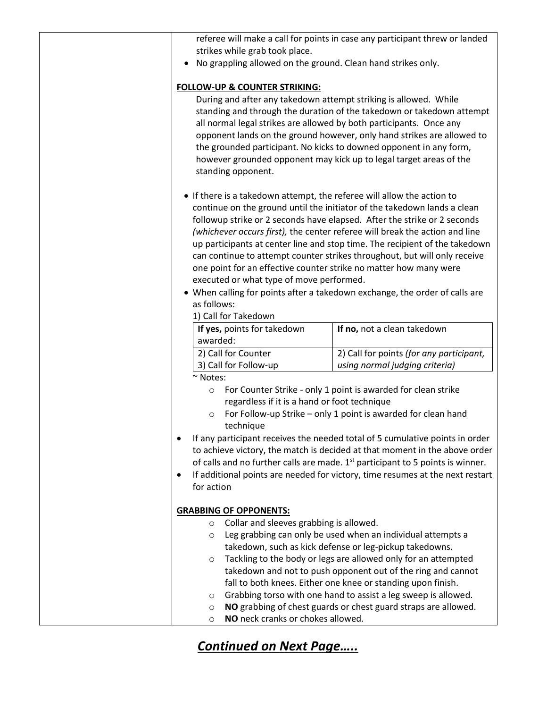| strikes while grab took place.                                                                                                                                                                                                 | referee will make a call for points in case any participant threw or landed                                                                                                                                                                                                                                                                                                                                                                                                    |
|--------------------------------------------------------------------------------------------------------------------------------------------------------------------------------------------------------------------------------|--------------------------------------------------------------------------------------------------------------------------------------------------------------------------------------------------------------------------------------------------------------------------------------------------------------------------------------------------------------------------------------------------------------------------------------------------------------------------------|
| No grappling allowed on the ground. Clean hand strikes only.                                                                                                                                                                   |                                                                                                                                                                                                                                                                                                                                                                                                                                                                                |
| <b>FOLLOW-UP &amp; COUNTER STRIKING:</b><br>During and after any takedown attempt striking is allowed. While<br>all normal legal strikes are allowed by both participants. Once any<br>standing opponent.                      | standing and through the duration of the takedown or takedown attempt<br>opponent lands on the ground however, only hand strikes are allowed to<br>the grounded participant. No kicks to downed opponent in any form,<br>however grounded opponent may kick up to legal target areas of the                                                                                                                                                                                    |
| • If there is a takedown attempt, the referee will allow the action to<br>one point for an effective counter strike no matter how many were<br>executed or what type of move performed.<br>as follows:<br>1) Call for Takedown | continue on the ground until the initiator of the takedown lands a clean<br>followup strike or 2 seconds have elapsed. After the strike or 2 seconds<br>(whichever occurs first), the center referee will break the action and line<br>up participants at center line and stop time. The recipient of the takedown<br>can continue to attempt counter strikes throughout, but will only receive<br>• When calling for points after a takedown exchange, the order of calls are |
| If yes, points for takedown                                                                                                                                                                                                    | If no, not a clean takedown                                                                                                                                                                                                                                                                                                                                                                                                                                                    |
| awarded:                                                                                                                                                                                                                       |                                                                                                                                                                                                                                                                                                                                                                                                                                                                                |
| 2) Call for Counter                                                                                                                                                                                                            | 2) Call for points (for any participant,                                                                                                                                                                                                                                                                                                                                                                                                                                       |
| 3) Call for Follow-up<br>~ Notes:                                                                                                                                                                                              | using normal judging criteria)                                                                                                                                                                                                                                                                                                                                                                                                                                                 |
| $\circ$<br>regardless if it is a hand or foot technique<br>$\circ$<br>technique                                                                                                                                                | For Counter Strike - only 1 point is awarded for clean strike<br>For Follow-up Strike - only 1 point is awarded for clean hand<br>If any participant receives the needed total of 5 cumulative points in order<br>to achieve victory, the match is decided at that moment in the above order<br>of calls and no further calls are made. 1 <sup>st</sup> participant to 5 points is winner.                                                                                     |
| ٠                                                                                                                                                                                                                              | If additional points are needed for victory, time resumes at the next restart                                                                                                                                                                                                                                                                                                                                                                                                  |
| for action                                                                                                                                                                                                                     |                                                                                                                                                                                                                                                                                                                                                                                                                                                                                |
| <b>GRABBING OF OPPONENTS:</b>                                                                                                                                                                                                  |                                                                                                                                                                                                                                                                                                                                                                                                                                                                                |
| Collar and sleeves grabbing is allowed.<br>$\circ$<br>O<br>O<br>$\circ$<br>$\circ$<br>NO neck cranks or chokes allowed.<br>$\circ$                                                                                             | Leg grabbing can only be used when an individual attempts a<br>takedown, such as kick defense or leg-pickup takedowns.<br>Tackling to the body or legs are allowed only for an attempted<br>takedown and not to push opponent out of the ring and cannot<br>fall to both knees. Either one knee or standing upon finish.<br>Grabbing torso with one hand to assist a leg sweep is allowed.<br>NO grabbing of chest guards or chest guard straps are allowed.                   |

## *Continued on Next Page…..*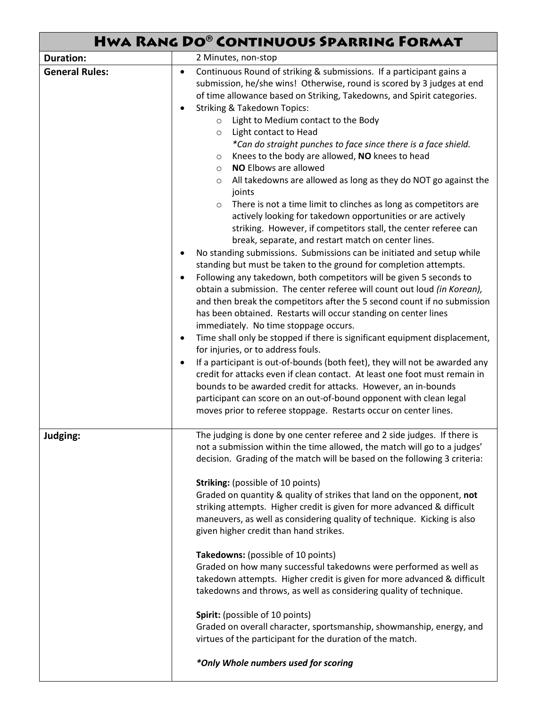| HWA RANG DO® CONTINUOUS SPARRING FORMAT |                                                                                                                                                                                                                                                                                                                                                                                                                                                                                                                                                                                                                                                                                                                                                                                                                                                                                                                                                                                                                                                                                                                                                                                                                                                                                                                                                                                                                                                                                                                                                                                                                                                                                                                                                                                                                                                                                                                                         |
|-----------------------------------------|-----------------------------------------------------------------------------------------------------------------------------------------------------------------------------------------------------------------------------------------------------------------------------------------------------------------------------------------------------------------------------------------------------------------------------------------------------------------------------------------------------------------------------------------------------------------------------------------------------------------------------------------------------------------------------------------------------------------------------------------------------------------------------------------------------------------------------------------------------------------------------------------------------------------------------------------------------------------------------------------------------------------------------------------------------------------------------------------------------------------------------------------------------------------------------------------------------------------------------------------------------------------------------------------------------------------------------------------------------------------------------------------------------------------------------------------------------------------------------------------------------------------------------------------------------------------------------------------------------------------------------------------------------------------------------------------------------------------------------------------------------------------------------------------------------------------------------------------------------------------------------------------------------------------------------------------|
| <b>Duration:</b>                        | 2 Minutes, non-stop                                                                                                                                                                                                                                                                                                                                                                                                                                                                                                                                                                                                                                                                                                                                                                                                                                                                                                                                                                                                                                                                                                                                                                                                                                                                                                                                                                                                                                                                                                                                                                                                                                                                                                                                                                                                                                                                                                                     |
| <b>General Rules:</b>                   | Continuous Round of striking & submissions. If a participant gains a<br>٠<br>submission, he/she wins! Otherwise, round is scored by 3 judges at end<br>of time allowance based on Striking, Takedowns, and Spirit categories.<br><b>Striking &amp; Takedown Topics:</b><br>$\bullet$<br>Light to Medium contact to the Body<br>$\circ$<br>Light contact to Head<br>$\circ$<br>*Can do straight punches to face since there is a face shield.<br>Knees to the body are allowed, NO knees to head<br>$\circ$<br><b>NO Elbows are allowed</b><br>$\circ$<br>All takedowns are allowed as long as they do NOT go against the<br>$\circ$<br>joints<br>There is not a time limit to clinches as long as competitors are<br>$\circ$<br>actively looking for takedown opportunities or are actively<br>striking. However, if competitors stall, the center referee can<br>break, separate, and restart match on center lines.<br>No standing submissions. Submissions can be initiated and setup while<br>٠<br>standing but must be taken to the ground for completion attempts.<br>Following any takedown, both competitors will be given 5 seconds to<br>$\bullet$<br>obtain a submission. The center referee will count out loud (in Korean),<br>and then break the competitors after the 5 second count if no submission<br>has been obtained. Restarts will occur standing on center lines<br>immediately. No time stoppage occurs.<br>Time shall only be stopped if there is significant equipment displacement,<br>٠<br>for injuries, or to address fouls.<br>If a participant is out-of-bounds (both feet), they will not be awarded any<br>٠<br>credit for attacks even if clean contact. At least one foot must remain in<br>bounds to be awarded credit for attacks. However, an in-bounds<br>participant can score on an out-of-bound opponent with clean legal<br>moves prior to referee stoppage. Restarts occur on center lines. |
| Judging:                                | The judging is done by one center referee and 2 side judges. If there is<br>not a submission within the time allowed, the match will go to a judges'<br>decision. Grading of the match will be based on the following 3 criteria:<br><b>Striking:</b> (possible of 10 points)<br>Graded on quantity & quality of strikes that land on the opponent, not<br>striking attempts. Higher credit is given for more advanced & difficult<br>maneuvers, as well as considering quality of technique. Kicking is also<br>given higher credit than hand strikes.<br>Takedowns: (possible of 10 points)<br>Graded on how many successful takedowns were performed as well as<br>takedown attempts. Higher credit is given for more advanced & difficult<br>takedowns and throws, as well as considering quality of technique.<br>Spirit: (possible of 10 points)<br>Graded on overall character, sportsmanship, showmanship, energy, and<br>virtues of the participant for the duration of the match.<br>*Only Whole numbers used for scoring                                                                                                                                                                                                                                                                                                                                                                                                                                                                                                                                                                                                                                                                                                                                                                                                                                                                                                     |